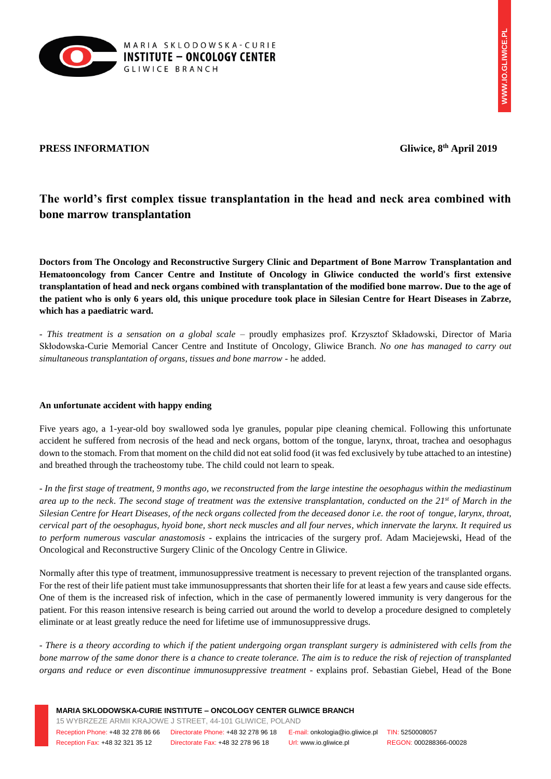

## **PRESS INFORMATION Gliwice, 8th April 2019**

# **The world's first complex tissue transplantation in the head and neck area combined with bone marrow transplantation**

**Doctors from The Oncology and Reconstructive Surgery Clinic and Department of Bone Marrow Transplantation and Hematooncology from Cancer Centre and Institute of Oncology in Gliwice conducted the world's first extensive transplantation of head and neck organs combined with transplantation of the modified bone marrow. Due to the age of the patient who is only 6 years old, this unique procedure took place in Silesian Centre for Heart Diseases in Zabrze, which has a paediatric ward.**

*- This treatment is a sensation on a global scale* – proudly emphasizes prof. Krzysztof Składowski, Director of Maria Skłodowska-Curie Memorial Cancer Centre and Institute of Oncology, Gliwice Branch. *No one has managed to carry out simultaneous transplantation of organs, tissues and bone marrow* - he added.

## **An unfortunate accident with happy ending**

Five years ago, a 1-year-old boy swallowed soda lye granules, popular pipe cleaning chemical. Following this unfortunate accident he suffered from necrosis of the head and neck organs, bottom of the tongue, larynx, throat, trachea and oesophagus down to the stomach. From that moment on the child did not eat solid food (it was fed exclusively by tube attached to an intestine) and breathed through the tracheostomy tube. The child could not learn to speak.

- *In the first stage of treatment, 9 months ago, we reconstructed from the large intestine the oesophagus within the mediastinum area up to the neck*. *The second stage of treatment was the extensive transplantation, conducted on the 21st of March in the Silesian Centre for Heart Diseases, of the neck organs collected from the deceased donor i.e. the root of tongue, larynx, throat, cervical part of the oesophagus, hyoid bone, short neck muscles and all four nerves, which innervate the larynx. It required us to perform numerous vascular anastomosis* - explains the intricacies of the surgery prof. Adam Maciejewski, Head of the Oncological and Reconstructive Surgery Clinic of the Oncology Centre in Gliwice.

Normally after this type of treatment, immunosuppressive treatment is necessary to prevent rejection of the transplanted organs. For the rest of their life patient must take immunosuppressants that shorten their life for at least a few years and cause side effects. One of them is the increased risk of infection, which in the case of permanently lowered immunity is very dangerous for the patient. For this reason intensive research is being carried out around the world to develop a procedure designed to completely eliminate or at least greatly reduce the need for lifetime use of immunosuppressive drugs.

*- There is a theory according to which if the patient undergoing organ transplant surgery is administered with cells from the bone marrow of the same donor there is a chance to create tolerance. The aim is to reduce the risk of rejection of transplanted organs and reduce or even discontinue immunosuppressive treatment -* explains prof. Sebastian Giebel, Head of the Bone

**MARIA SKLODOWSKA-CURIE INSTITUTE – ONCOLOGY CENTER GLIWICE BRANCH**

15 WYBRZEZE ARMII KRAJOWE J STREET, 44-101 GLIWICE, POLAND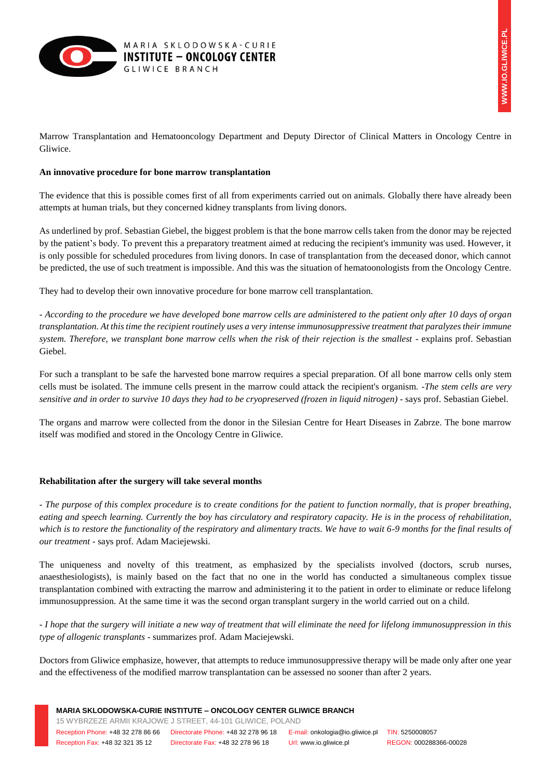

Marrow Transplantation and Hematooncology Department and Deputy Director of Clinical Matters in Oncology Centre in Gliwice.

### **An innovative procedure for bone marrow transplantation**

The evidence that this is possible comes first of all from experiments carried out on animals. Globally there have already been attempts at human trials, but they concerned kidney transplants from living donors.

As underlined by prof. Sebastian Giebel, the biggest problem is that the bone marrow cells taken from the donor may be rejected by the patient's body. To prevent this a preparatory treatment aimed at reducing the recipient's immunity was used. However, it is only possible for scheduled procedures from living donors. In case of transplantation from the deceased donor, which cannot be predicted, the use of such treatment is impossible. And this was the situation of hematoonologists from the Oncology Centre.

They had to develop their own innovative procedure for bone marrow cell transplantation.

*- According to the procedure we have developed bone marrow cells are administered to the patient only after 10 days of organ transplantation. At this time the recipient routinely uses a very intense immunosuppressive treatment that paralyzes their immune system. Therefore, we transplant bone marrow cells when the risk of their rejection is the smallest* - explains prof. Sebastian Giebel.

For such a transplant to be safe the harvested bone marrow requires a special preparation. Of all bone marrow cells only stem cells must be isolated. The immune cells present in the marrow could attack the recipient's organism. -*The stem cells are very sensitive and in order to survive 10 days they had to be cryopreserved (frozen in liquid nitrogen)* - says prof. Sebastian Giebel.

The organs and marrow were collected from the donor in the Silesian Centre for Heart Diseases in Zabrze. The bone marrow itself was modified and stored in the Oncology Centre in Gliwice.

#### **Rehabilitation after the surgery will take several months**

*- The purpose of this complex procedure is to create conditions for the patient to function normally, that is proper breathing, eating and speech learning. Currently the boy has circulatory and respiratory capacity. He is in the process of rehabilitation, which is to restore the functionality of the respiratory and alimentary tracts. We have to wait 6-9 months for the final results of our treatment -* says prof. Adam Maciejewski.

The uniqueness and novelty of this treatment, as emphasized by the specialists involved (doctors, scrub nurses, anaesthesiologists), is mainly based on the fact that no one in the world has conducted a simultaneous complex tissue transplantation combined with extracting the marrow and administering it to the patient in order to eliminate or reduce lifelong immunosuppression. At the same time it was the second organ transplant surgery in the world carried out on a child.

*- I hope that the surgery will initiate a new way of treatment that will eliminate the need for lifelong immunosuppression in this type of allogenic transplants* - summarizes prof. Adam Maciejewski.

Doctors from Gliwice emphasize, however, that attempts to reduce immunosuppressive therapy will be made only after one year and the effectiveness of the modified marrow transplantation can be assessed no sooner than after 2 years.

15 WYBRZEZE ARMII KRAJOWE J STREET, 44-101 GLIWICE, POLAND